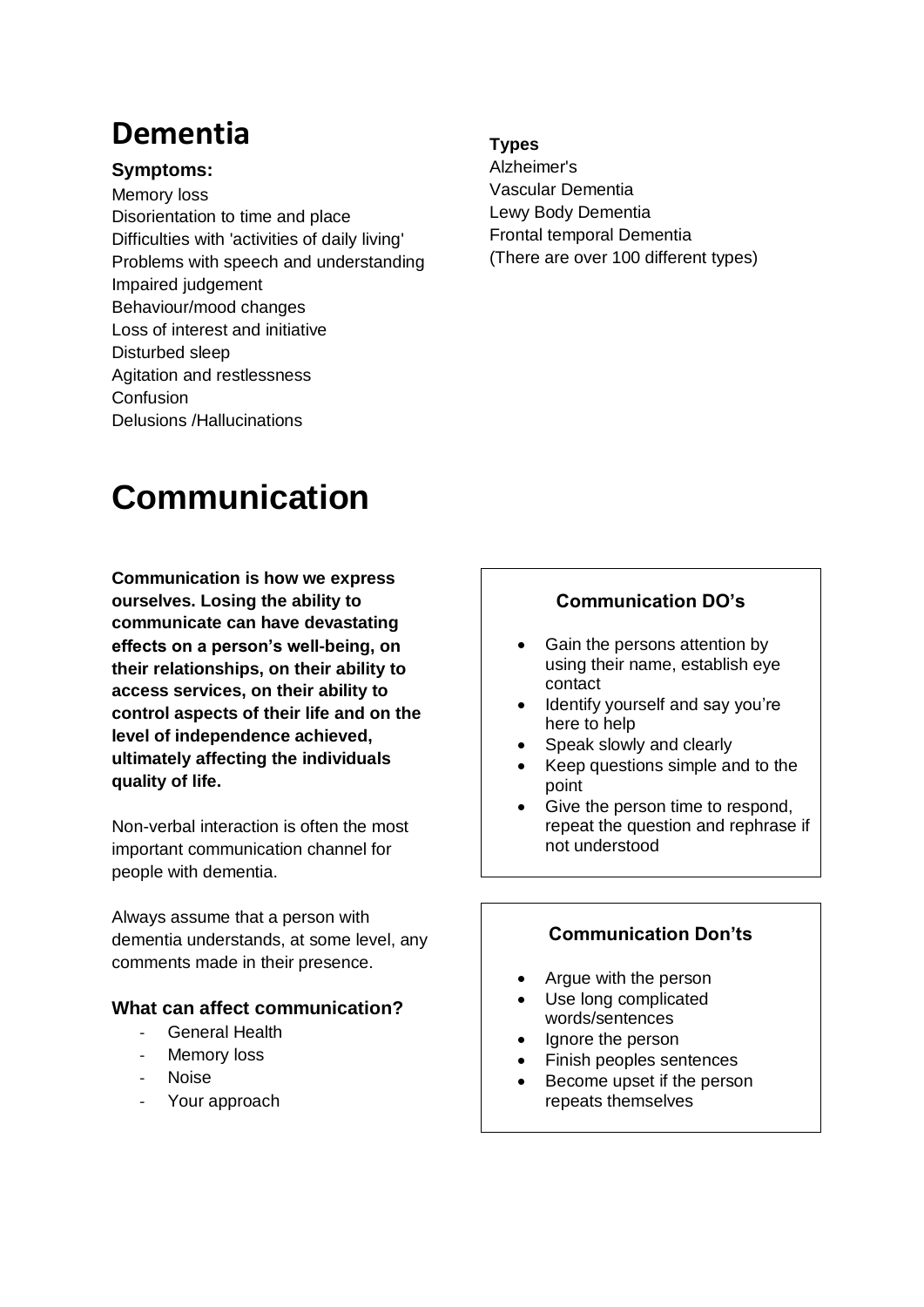# **Dementia**

### **Symptoms:**

Memory loss Disorientation to time and place Difficulties with 'activities of daily living' Problems with speech and understanding Impaired judgement Behaviour/mood changes Loss of interest and initiative Disturbed sleep Agitation and restlessness Confusion Delusions /Hallucinations

#### **Types**

Alzheimer's Vascular Dementia Lewy Body Dementia Frontal temporal Dementia (There are over 100 different types)

# **Communication**

**Communication is how we express ourselves. Losing the ability to communicate can have devastating effects on a person's well-being, on their relationships, on their ability to access services, on their ability to control aspects of their life and on the level of independence achieved, ultimately affecting the individuals quality of life.**

Non-verbal interaction is often the most important communication channel for people with dementia.

Always assume that a person with dementia understands, at some level, any comments made in their presence.

#### **What can affect communication?**

- General Health
- Memory loss
- Noise
- Your approach

# **Communication DO's**

- Gain the persons attention by using their name, establish eye contact
- Identify yourself and say you're here to help
- Speak slowly and clearly
- Keep questions simple and to the point
- Give the person time to respond, repeat the question and rephrase if not understood

# **Communication Don'ts**

- Argue with the person
- Use long complicated words/sentences
- Ignore the person
- Finish peoples sentences
- Become upset if the person repeats themselves